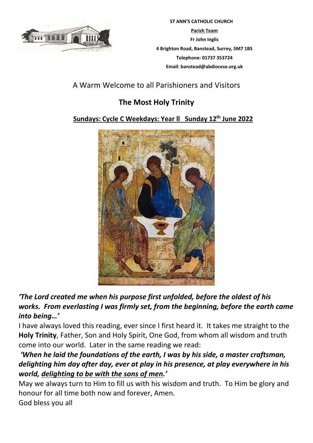

 **ST ANN'S CATHOLIC CHURCH Parish Team Fr John Inglis 4 Brighton Road, Banstead, Surrey, SM7 1BS Telephone: 01737 353724 Email: banstead@abdiocese.org.uk**

# A Warm Welcome to all Parishioners and Visitors

# **The Most Holy Trinity**

## **Sundays: Cycle C Weekdays: Year ll Sunday 12th June 2022**



## *'The Lord created me when his purpose first unfolded, before the oldest of his works. From everlasting I was firmly set, from the beginning, before the earth came into being…'*

I have always loved this reading, ever since I first heard it. It takes me straight to the **Holy Trinity**, Father, Son and Holy Spirit, One God, from whom all wisdom and truth come into our world. Later in the same reading we read:

# *'When he laid the foundations of the earth, I was by his side, a master craftsman, delighting him day after day, ever at play in his presence, at play everywhere in his world, delighting to be with the sons of men.'*

May we always turn to Him to fill us with his wisdom and truth. To Him be glory and honour for all time both now and forever, Amen. God bless you all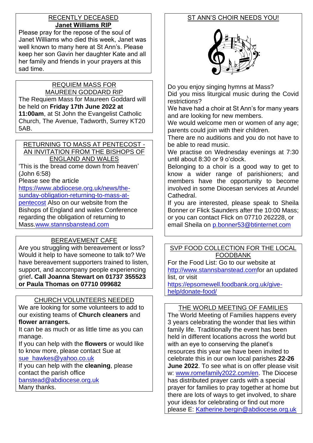#### RECENTLY DECEASED **Janet Williams RIP**

Please pray for the repose of the soul of Janet Williams who died this week, Janet was well known to many here at St Ann's. Please keep her son Gavin her daughter Kate and all her family and friends in your prayers at this sad time.

## REQUIEM MASS FOR

MAUREEN GODDARD RIP The Requiem Mass for Maureen Goddard will be held on **Friday 17th June 2022 at 11:00am**, at St John the Evangelist Catholic Church, The Avenue, Tadworth, Surrey KT20 5AB.

#### RETURNING TO MASS AT PENTECOST - AN INVITATION FROM THE BISHOPS OF ENGLAND AND WALES

'This is the bread come down from heaven' (John 6:58)

Please see the article

[https://www.abdiocese.org.uk/news/the](https://www.abdiocese.org.uk/news/the-sunday-obligation-returning-to-mass-at-pentecost)[sunday-obligation-returning-to-mass-at](https://www.abdiocese.org.uk/news/the-sunday-obligation-returning-to-mass-at-pentecost)[pentecost](https://www.abdiocese.org.uk/news/the-sunday-obligation-returning-to-mass-at-pentecost) Also on our website from the Bishops of England and wales Conference regarding the obligation of returning to Mass[.www.stannsbanstead.com](http://www.stannsbanstead.com/)

# BEREAVEMENT CAFE

Are you struggling with bereavement or loss? Would it help to have someone to talk to? We have bereavement supporters trained to listen, support, and accompany people experiencing grief**. Call Joanna Stewart on 01737 355523 or Paula Thomas on 07710 099682** 

## CHURCH VOLUNTEERS NEEDED

We are looking for some volunteers to add to our existing teams of **Church cleaners** and **flower arrangers.**

It can be as much or as little time as you can manage.

If you can help with the **flowers** or would like to know more, please contact Sue at [sue\\_hawkes@yahoo.co.uk](mailto:sue_hawkes@yahoo.co.uk)

If you can help with the **cleaning**, please contact the parish office

[banstead@abdiocese.org.uk](mailto:banstead@abdiocese.org.uk)

Many thanks.

## ST ANN'S CHOIR NEEDS YOU!



Do you enjoy singing hymns at Mass?

Did you miss liturgical music during the Covid restrictions?

We have had a choir at St Ann's for many years and are looking for new members.

We would welcome men or women of any age; parents could join with their children.

There are no auditions and you do not have to be able to read music.

We practise on Wednesday evenings at 7:30 until about 8:30 or 9 o'clock.

Belonging to a choir is a good way to get to know a wider range of parishioners; and members have the opportunity to become involved in some Diocesan services at Arundel Cathedral.

If you are interested, please speak to Sheila Bonner or Flick Saunders after the 10:00 Mass; or you can contact Flick on 07710 262228, or email Sheila on [p.bonner53@btinternet.com](mailto:p.bonner53@btinternet.com)

#### SVP FOOD COLLECTION FOR THE LOCAL FOODBANK

For the Food List: Go to our website at [http://www.stannsbanstead.comf](http://www.stannsbanstead.com/)or an updated list, or visit

[https://epsomewell.foodbank.org.uk/give](https://epsomewell.foodbank.org.uk/give-help/donate-food/)[help/donate-food/](https://epsomewell.foodbank.org.uk/give-help/donate-food/)

#### THE WORLD MEETING OF FAMILIES

The World Meeting of Families happens every 3 years celebrating the wonder that lies within family life. Traditionally the event has been held in different locations across the world but with an eye to conserving the planet's resources this year we have been invited to celebrate this in our own local parishes **22-26 June 2022**. To see what is on offer please visit w: [www.romefamily2022.com/en.](http://www.romefamily2022.com/en) The Diocese has distributed prayer cards with a special prayer for families to pray together at home but there are lots of ways to get involved, to share your ideas for celebrating or find out more please E: [Katherine.bergin@abdiocese.org.uk](mailto:Katherine.bergin@abdiocese.org.uk)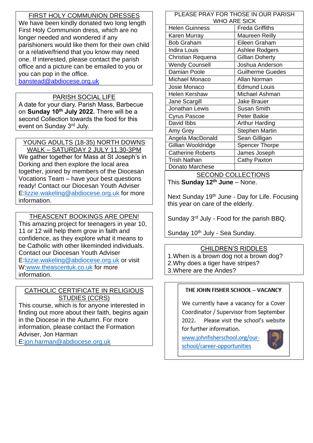### FIRST HOLY COMMUNION DRESSES

We have been kindly donated two long length First Holy Communion dress, which are no longer needed and wondered if any parishioners would like them for their own child or a relative/friend that you know may need one. If interested, please contact the parish office and a picture can be emailed to you or you can pop in the office. [banstead@abdiocese.org.uk](mailto:banstead@abdiocese.org.uk)

# PARISH SOCIAL LIFE

A date for your diary. Parish Mass, Barbecue on **Sunday 10th July 2022.** There will be a second Collection towards the food for this event on Sunday 3rd July.

## YOUNG ADULTS (18-35) NORTH DOWNS

WALK – SATURDAY 2 JULY 11.30-3PM We gather together for Mass at St Joseph's in Dorking and then explore the local area together, joined by members of the Diocesan Vocations Team – have your best questions ready! Contact our Diocesan Youth Adviser E[:lizzie.wakeling@abdiocese.org.uk](mailto:lizzie.wakeling@abdiocese.org.uk) for more information.

## THEASCENT BOOKINGS ARE OPEN!

This amazing project for teenagers in year 10, 11 or 12 will help them grow in faith and confidence, as they explore what it means to be Catholic with other likeminded individuals. Contact our Diocesan Youth Adviser E[:lizzie.wakeling@abdiocese.org.uk](mailto:lizzie.wakeling@abdiocese.org.uk) or visit W[:www.theascentuk.co.uk](http://www.theascentuk.co.uk/) for more information.

#### CATHOLIC CERTIFICATE IN RELIGIOUS STUDIES (CCRS)

This course, which is for anyone interested in finding out more about their faith, begins again in the Diocese in the Autumn. For more information, please contact the Formation Adviser, Jon Harman E[:jon.harman@abdiocese.org.uk](mailto:jon.harman@abdiocese.org.uk)

#### PLEASE PRAY FOR THOSE IN OUR PARISH WHO ARE SICK Helen Guinness **Freda Griffiths** Karen Murray Maureen Reilly Bob Graham | Eileen Graham Indira Louis **Ashlee Rodgers** Christian Requena Gillian Doherty Wendy Counsell **Joshua Anderson** Damian Poole **Guilherme Guedes** Michael Monaco Allan Norman Josie Monaco Edmund Louis Helen Kershaw | Michael Ashman Jane Scargill Jake Brauer Jonathan Lewis Susan Smith Cyrus Pascoe | Peter Baikie David Ibbs **Arthur Harding** Amy Grey Stephen Martin Angela MacDonald | Sean Gilligan Gillian Wooldridge Spencer Thorpe Catherine Roberts James Joseph Trish Nathan **Cathy Paxton** Donato Marchese

SECOND COLLECTIONS This **Sunday 12th June** – None.

Next Sunday 19<sup>th</sup> June - Day for Life. Focusing this year on care of the elderly.

Sunday 3rd July - Food for the parish BBQ.

Sunday 10<sup>th</sup> July - Sea Sunday.

#### CHILDREN'S RIDDLES

1.When is a brown dog not a brown dog? 2.Why does a tiger have stripes? 3.Where are the Andes?

#### THE JOHN FISHER SCHOOL - VACANCY

We currently have a vacancy for a Cover Coordinator / Supervisor from September 2022. Please visit the school's website for further information.

www.iohnfisherschool.org/ourschool/career-opportunities